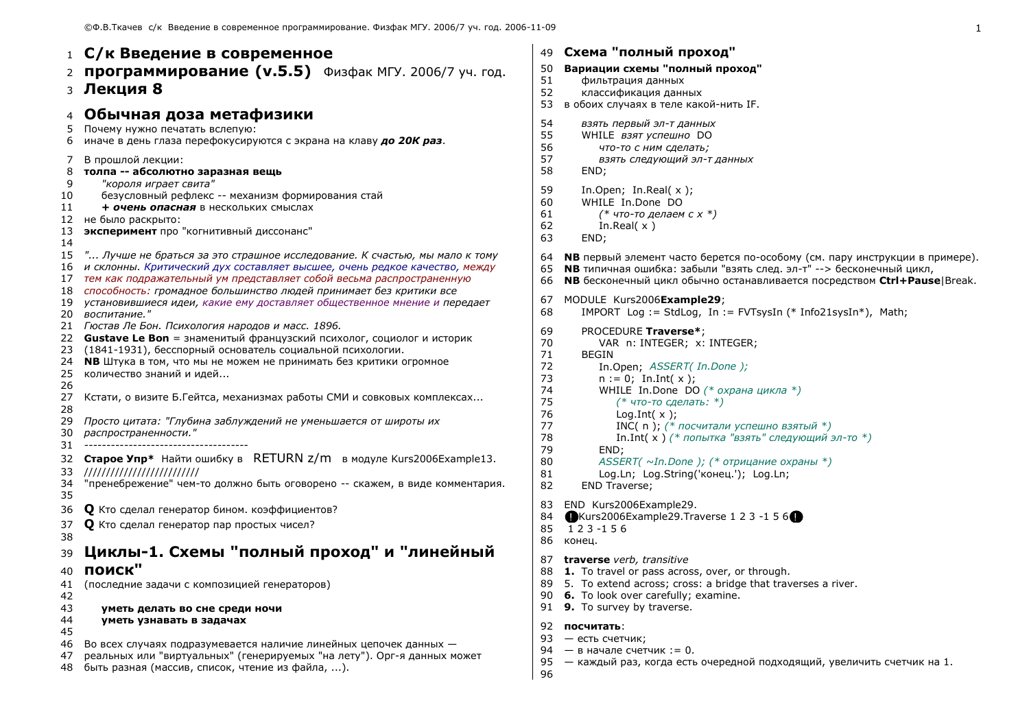1 С/к Введение в современное 2 ПРОГРАММИРОВАНИЕ (V.5.5) Физфак МГУ, 2006/7 уч. год. з Лекция 8 4 Обычная доза метафизики 5 Почему нужно печатать вслепую: 6 иначе в день глаза перефокусируются с экрана на клаву до 20К раз. В прошлой лекции:  $7^{\circ}$ 8 толпа -- абсолютно заразная вещь "короля играет свита" 9 10 безусловный рефлекс -- механизм формирования стай 11 + очень опасная в нескольких смыслах 12 не было раскрыто: эксперимент про "когнитивный диссонанс" 13 14 15 "... Лучше не браться за это страшное исследование. К счастью, мы мало к тому 16 и склонны. Критический дух составляет высшее, очень редкое качество, между 17 тем как подражательный ум представляет собой весьма распространенную 18 способность: громадное большинство людей принимает без критики все 19 установившиеся идеи, какие ему доставляет общественное мнение и передает 20 воспитание." 21 Гюстав Ле Бон. Психология народов и масс. 1896. 22 **Gustave Le Bon** = знаменитый французский психолог, социолог и историк 23 (1841-1931), бесспорный основатель социальной психологии. 24 **NB** Штука в том, что мы не можем не принимать без критики огромное 25 количество знаний и идей... 26 27 Кстати, о визите Б.Гейтса, механизмах работы СМИ и совковых комплексах... 28 29 Просто цитата: "Глубина заблуждений не уменьшается от широты их распространенности." 30 31 32 Старое Упр\* Найти ошибку в RETURN z/m в модуле Kurs2006Example13. 33 ////////////////////////// 34 "пренебрежение" чем-то должно быть оговорено -- скажем, в виде комментария. 35 О Кто сделал генератор бином. коэффициентов? 36 37 О Кто сделал генератор пар простых чисел? 38 Циклы-1. Схемы "полный проход" и "линейный 39 поиск"  $40$ 41 (последние задачи с композицией генераторов) 42 43 уметь делать во сне среди ночи 44 уметь узнавать в задачах 45 46 Во всех случаях подразумевается наличие линейных цепочек данных -47 реальных или "виртуальных" (генерируемых "на лету"). Орг-я данных может быть разная (массив, список, чтение из файла, ...). 48

```
49 Схема "полный проход"
50
    Вариации схемы "полный проход"
51
       фильтрация данных
52
       классификация данных
53 в обоих случаях в теле какой-нить IF.
54
       взять первый эл-т данных
55
       WHILE взят успешно DO
56
          что-то с ним сделать;
57
          взять следующий эл-т данных
58
       END:
59
       In.Open; In.Real(x);
       WHILE In.Done DO
60
61
          (* что-то делаем с x *)
62
          In.Real(x)63
       END:
    NB первый элемент часто берется по-особому (см. пару инструкции в примере).
64
    NB типичная ошибка: забыли "взять след. эл-т" --> бесконечный цикл,
65
    NB бесконечный цикл обычно останавливается посредством Ctrl+Pause|Break.
66
   MODULE Kurs2006Example29;
67
68
       IMPORT Log := StdLog, In := FVTsysIn (* Info21sysIn*), Math;
69
       PROCEDURE Traverse*;
70
          VAR n: INTEGER; x: INTEGER;
71
       BEGIN
          In.Open; ASSERT( In.Done );
72
73
          n := 0; In.Int( x );
74
          WHILE In.Done DO (* охрана цикла *)75
             (* что-то сделать: *)
76
             Log.int(x);
77
             INC( n); (* посчитали успешно взятый *)
78
             In.Int( x ) (* попытка "взять" следующий эл-то *)
79
          END:
80
          ASSERT(\simIn.Done); (* отрицание охраны *)
81
          Log.Ln; Log.String('конец.'); Log.Ln;
82
       END Traverse;
83 END Kurs2006Example29.
84
    \bigoplusKurs2006Example29.Traverse 1 2 3 -1 5 6\bigoplus85 123-156
86 конец.
87 traverse verb, transitive
88 1. To travel or pass across, over, or through.
89 5. To extend across; cross: a bridge that traverses a river.
90 6. To look over carefully; examine.
91 9. To survey by traverse.
92 посчитать:
93 - есть счетчик;
94 - B начале счетчик : = 0.
```

```
95 — каждый раз, когда есть очередной подходящий, увеличить счетчик на 1.
```

```
96
```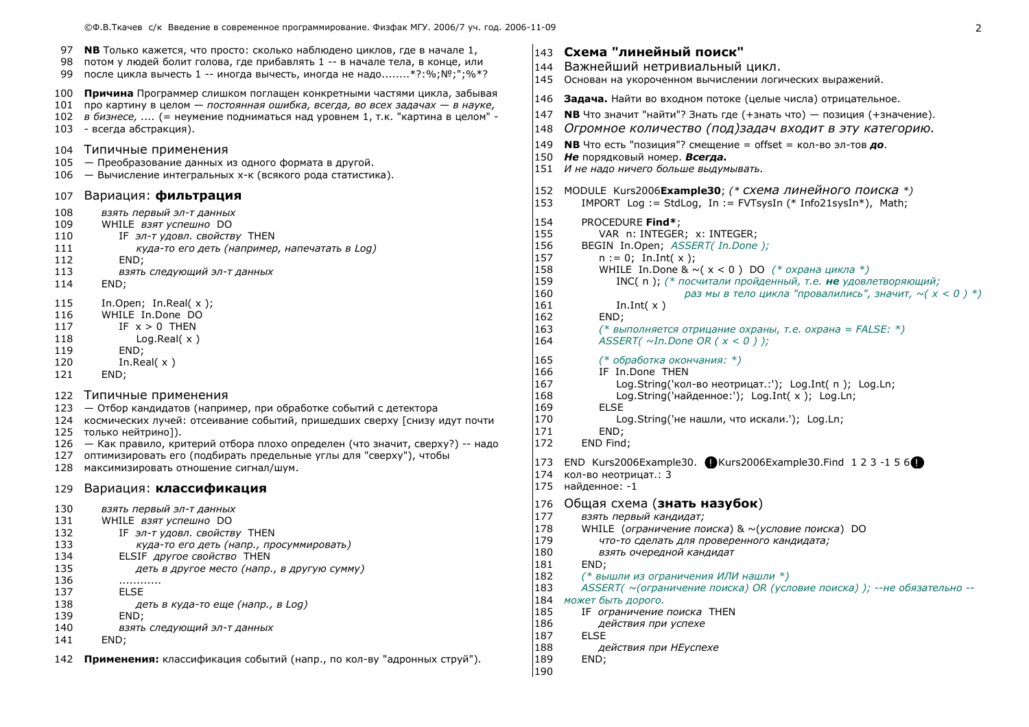| 97  | <b>NB</b> Только кажется, что просто: сколько наблюдено циклов, где в начале 1, |
|-----|---------------------------------------------------------------------------------|
| 98  | потом у людей болит голова, где прибавлять 1 -- в начале тела, в конце, или     |
| 99  | после цикла вычесть 1 -- иногда вычесть, иногда не надо*?:%; Nº;";%*?           |
| 100 | Причина Программер слишком поглащен конкретными частями цикла, забывая          |
| 101 | про картину в целом — постоянная ошибка, всегда, во всех задачах — в науке,     |
| 102 | в бизнесе,  (= неумение подниматься над уровнем 1, т.к. "картина в целом" -     |
| 103 | - всегда абстракция).                                                           |
| 104 | Типичные применения                                                             |
| 105 | — Преобразование данных из одного формата в другой.                             |
| 106 | – Вычисление интегральных х-к (всякого рода статистика).                        |
| 107 | Вариация: <b>фильтрация</b>                                                     |
| 108 | взять первый эл-т данных                                                        |
| 109 | WHILE <i>взят успешно</i> DO                                                    |
| 110 | IF эл-т удовл. свойству THEN                                                    |
| 111 | куда-то его деть (например, напечатать в Log)                                   |
| 112 | END;                                                                            |
| 113 | взять следующий эл-т данных                                                     |
| 114 | END;                                                                            |
| 115 | In.Open; In.Real $(x)$ ;                                                        |
| 116 | WHILE In.Done DO                                                                |
| 117 | IF $x > 0$ THEN                                                                 |
| 118 | Log. Real(x)                                                                    |
| 119 | END;                                                                            |
| 120 | In. Real $(x)$                                                                  |
| 121 | END;                                                                            |
| 122 | Типичные применения                                                             |
| 123 | — Отбор кандидатов (например, при обработке событий с детектора                 |
| 124 | космических лучей: отсеивание событий, пришедших сверху [снизу идут почти       |
| 125 | только нейтрино]).                                                              |
| 126 | — Как правило, критерий отбора плохо определен (что значит, сверху?) -- надо    |
| 127 | оптимизировать его (подбирать предельные углы для "сверху"), чтобы              |
| 128 | максимизировать отношение сигнал/шум.                                           |
| 129 | Вариация: классификация                                                         |
| 130 | взять первый эл-т данных                                                        |
| 131 | WHILE <i>взят успешно</i> DO                                                    |
| 132 | IF эл-т удовл. свойству THEN                                                    |
| 133 | куда-то его деть (напр., просуммировать)                                        |
| 134 | ELSIF <i>другое свойство</i> THEN                                               |
| 135 | деть в другое место (напр., в другую сумму)                                     |
| 136 | .                                                                               |
| 137 | <b>ELSE</b>                                                                     |
| 138 | деть в куда-то еще (напр., в Log)                                               |
| 139 | END;                                                                            |
| 140 | взять следующий эл-т данных                                                     |
| 141 | END;                                                                            |
| 142 | Применения: классификация событий (напр., по кол-ву "адронных струй").          |

# 143 Схема "линейный поиск"

- 144 Важнейший нетривиальный цикл. 145 Основан на укороченном вычислении логических выражений.
- 146 Задача. Найти во входном потоке (целые числа) отрицательное.
- 147 **NB** Что значит "найти"? Знать где (+знать что) позиция (+значение).
- 148 Огромное количество (под)задач входит в эту категорию.
- 149 **NB** Что есть "позиция"? смещение = offset = кол-во эл-тов до.
- 150 Не порядковый номер. Всегда.
- 151 И не надо ничего больше выдумывать.
- 152 MODULE Kurs2006Example30; (\* СХЕМА ЛИНЕЙНОГО ПОИСКА \*) IMPORT Loq := StdLoq, In := FVTsysIn (\* Info21sysIn\*), Math; 153
- 154 PROCEDURE Find\*:
- 155 VAR n: INTEGER: x: INTEGER:
- 156 BEGIN In.Open; ASSERT( In.Done );
- 157  $n := 0;$  In.Int( x ); 158
	- WHILE In Done &  $\sim$  ( $x$  < 0) DO (\* *охрана цикла* \*)
		- INC( n): (\* посчитали пройденный, т.е. не удовлетворяющий:
			- раз мы в тело цикла "провалились", значит,  $\sim (x < 0)^{*}$ )
	- In.Int $(x)$ END:
	- $(*$  выполняется отрицание охраны, т.е. охрана = FALSE: \*)
- 164 ASSERT( $\sim$ In.Done OR ( $x < 0$ ));
- 165 (\* обработка окончания: \*)
- 166 IF In Done THEN
	- Log.String('кол-во неотрицат.:'); Log.Int( n ); Log.Ln;
		- Log.String('найденное:'); Log.Int( x ); Log.Ln;
- 169 **FLSE** 170

159

160

161

162

163

167

168

- Log.String('не нашли, что искали.'); Log.Ln;
- 171 END:
- 172 END Find:
- 173 END Kurs2006Example30. Kurs2006Example30.Find 1 2 3 -1 5 6
- 174 кол-во неотрицат.: 3
- 175 найденное: -1
- 176 Общая схема (знать назубок)
- 177 взять первый кандидат;
- 178 WHILE (ограничение поиска) & ~(условие поиска) DO
- 179 что-то сделать для проверенного кандидата;
- 180 взять очередной кандидат
- 181 END:
- 182 (\* вышли из ограничения ИЛИ нашли \*)
- ASSERT( ~(ограничение поиска) OR (условие поиска) ); -- не обязательно --183
- 184 может быть дорого.
- 185 IF ограничение поиска THEN
- 186 действия при успехе
- 187 **FLSE**
- 188 действия при НЕуспехе
- 189 END; 190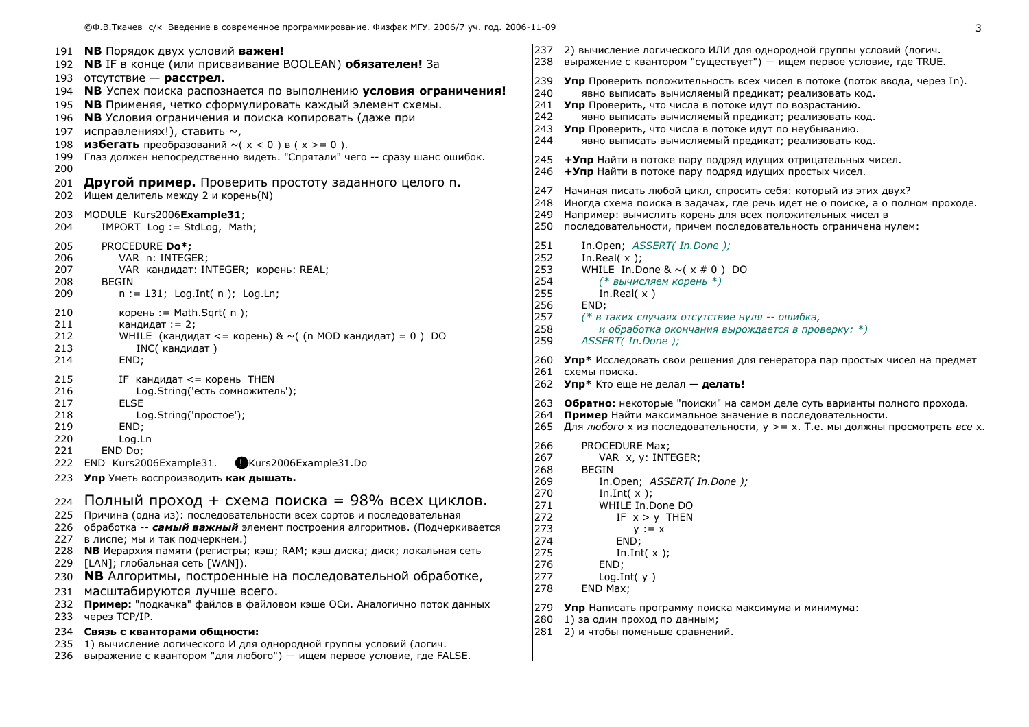- 2) вычисление логического ИЛИ для однородной группы условий (логич. 238 выражение с квантором "существует") — ищем первое условие, где TRUE. **Упр** Проверить положительность всех чисел в потоке (поток ввода, через In). явно выписать вычисляемый предикат; реализовать код. 241 Упр Проверить, что числа в потоке идут по возрастанию. явно выписать вычисляемый предикат: реализовать код. 243 Упр Проверить, что числа в потоке идут по неубыванию. явно выписать вычисляемый предикат; реализовать код. +Упр Найти в потоке пару подряд идущих отрицательных чисел. +Упр Найти в потоке пару подряд идущих простых чисел. Начиная писать любой цикл, спросить себя: который из этих двух? 248 Иногда схема поиска в задачах, где речь идет не о поиске, а о полном проходе. 249 Например: вычислить корень для всех положительных чисел в 250 последовательности, причем последовательность ограничена нулем: In.Open: ASSERT( In.Done ): In.Real $(x)$ ; WHILE In Done &  $\sim$  ( $\times$  # 0) DO (\* вычисляем корень \*) In Real( $x$ ) (\* в таких случаях отсутствие нуля -- ошибка. и обработка окончания вырождается в проверку: \*) ASSERT( In.Done ); 260 Упр\* Исследовать свои решения для генератора пар простых чисел на предмет 261 схемы поиска. 262 Упр\* Кто еще не делал - делать! 263 Обратно: некоторые "поиски" на самом деле суть варианты полного прохода. 264 Пример Найти максимальное значение в последовательности. 265 Для любого х из последовательности, у > = х. Т.е. мы должны просмотреть все х. PROCEDURE Max: VAR x. v: INTEGER: In.Open; ASSERT( In.Done ); In.Int $(x)$ : WHILE In.Done DO IF  $x > y$  THEN
- 272
- 273  $y := x$ 274 END:

**BEGIN** 

- 275 In.Int $(x)$ ;
- 276 END:

237

239

240

242

244

245

246

247

251

252

253

254

255

256

257

258

259

266

267

268

269

270

271

END:

- 277  $Log.int(y)$
- 278 END Max:
- 279 Упр Написать программу поиска максимума и минимума:
- 280 1) за один проход по данным;
- 281 2) и чтобы поменьше сравнений.

234 Связь с кванторами обшности:

231 масштабируются лучше всего.

191 **NB** Порядок двух условий важен!

исправлениях!), ставить  $\sim$ ,

202 Ищем делитель между 2 и корень(N)

VAR n: INTEGER;

кандидат:  $= 2$ :

IMPORT Log := StdLog, Math;

203 MODULE Kurs2006Example31:

PROCEDURE Do\*:

**BEGIN** 

END:

**FLSE** 

END:

END Do:

через TCP/IP.

Loa.Ln

222 END Kurs2006Example31.

227 в лиспе; мы и так подчеркнем.)

229 [LAN]; глобальная сеть [WAN]).

193 отсутствие — **расстрел.** 

197

198

200

204

205

206

207

208

209

210

211

212

213

214

215

216

217

218

219

220

221

224

233

192 **NB** IF в конце (или присваивание BOOLEAN) обязателен! За

195 **NB** Применяя, четко сформулировать каждый элемент схемы.

196 **NB** Условия ограничения и поиска копировать (даже при

**избегать** преобразований  $\sim$ ( $x < 0$ ) в ( $x > = 0$ ).

VAR кандидат: INTEGER; корень: REAL;

 $n := 131$ ; Log.Int(n); Log.Ln;

IF кандидат  $\leq$  корень THEN

Log.String('простое');

223 Упр Уметь воспроизводить как дышать.

Log.String('есть сомножитель');

корень := Math.Sqrt( n );

INC(кандидат)

194 **NB** Успех поиска распознается по выполнению условия ограничения!

199 Глаз должен непосредственно видеть. "Спрятали" чего -- сразу шанс ошибок.

WHILE (кандидат <= корень) & ~( (n MOD кандидат) = 0) DO

Kurs2006Example31.Do

Полный проход + схема поиска = 98% всех циклов.

226 обработка -- самый важный элемент построения алгоритмов. (Подчеркивается

228 **NB** Иерархия памяти (регистры; кэш; RAM; кэш диска; диск; локальная сеть

230 **NB** Алгоритмы, построенные на последовательной обработке,

232 Пример: "подкачка" файлов в файловом кэше ОСи. Аналогично поток данных

225 Причина (одна из); последовательности всех сортов и последовательная

201 Другой пример. Проверить простоту заданного целого n.

- 235 1) вычисление логического И для однородной группы условий (логич.
- 236 выражение с квантором "для любого") ищем первое условие, где FALSE.

3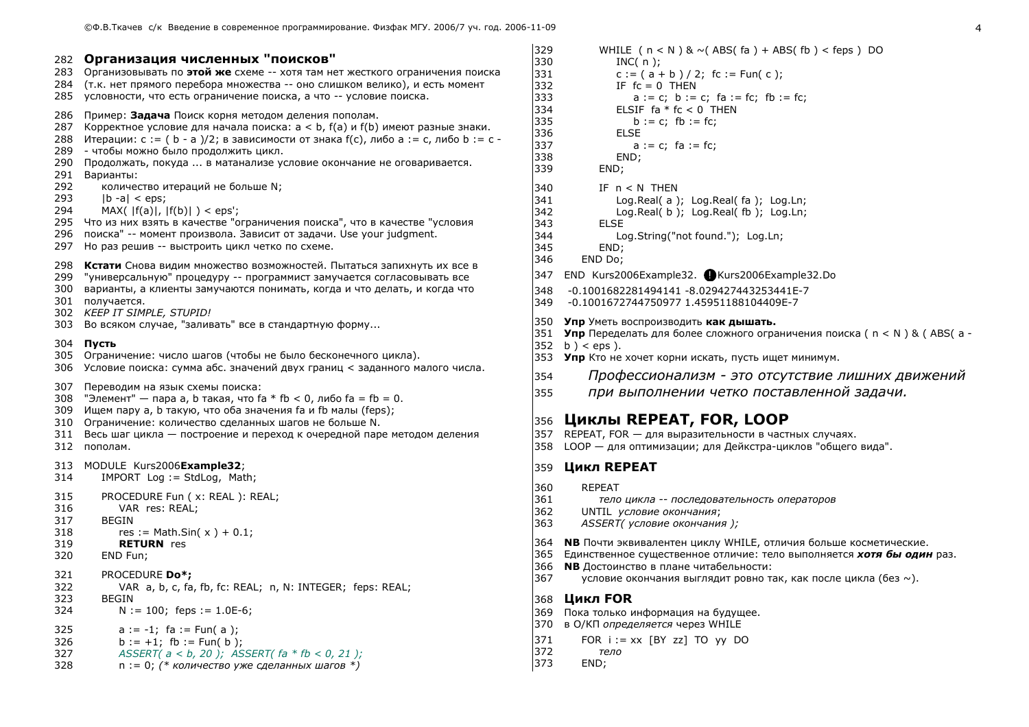282 Организация численных "поисков" 283 Организовывать по этой же схеме -- хотя там нет жесткого ограничения поиска 284 (т.к. нет прямого перебора множества -- оно слишком велико), и есть момент 285 УСЛОВНОСТИ. ЧТО ЕСТЬ ОГРАНИЧЕНИЕ ПОИСКА, А ЧТО -- УСЛОВИЕ ПОИСКА. 286 Пример: Задача Поиск корня методом деления пополам. 287 Корректное условие для начала поиска: a < b, f(a) и f(b) имеют разные знаки. 288 Итерации: с : = ( b - а )/2; в зависимости от знака  $f(c)$ , либо а : = с, либо b : = с -289 - чтобы можно было продолжить цикл. 290 Продолжать, покуда ... в матанализе условие окончание не оговаривается. 291 Варианты: 292 количество итераций не больше N; 293  $|b - a| < eps$ ; 294  $MAX( |f(a)|, |f(b)| ) < eps$ ; 295 Что из них взять в качестве "ограничения поиска", что в качестве "условия 296 поиска" -- момент произвола. Зависит от задачи. Use your judgment. 297 Но раз решив -- выстроить цикл четко по схеме. 298 Кстати Снова видим множество возможностей. Пытаться запихнуть их все в 299 "универсальную" процедуру -- программист замучается согласовывать все 300 варианты, а клиенты замучаются понимать, когда и что делать, и когда что 301 получается. 302 KEEP IT SIMPLE, STUPID! 303 Во всяком случае, "заливать" все в стандартную форму... **304 Пусть** 305 Ограничение: число шагов (чтобы не было бесконечного цикла). 306 Условие поиска: сумма абс. значений двух границ < заданного малого числа. 307 Переводим на язык схемы поиска: 308 "Элемент" — пара а, b такая, что fa \* fb < 0, либо fa = fb = 0. 309 Ищем пару а, b такую, что оба значения fa и fb малы (feps); 310 Ограничение: количество сделанных шагов не больше N. 311 Весь шаг цикла - построение и переход к очередной паре методом деления 312 пополам. 313 MODULE Kurs2006Example32: 314 IMPORT Log := StdLog, Math; 315 PROCEDURE Fun ( x: REAL ): REAL; 316 VAR res: REAL: 317 **BEGIN** 318 res := Math.Sin( $x$ ) + 0.1; 319 **RETURN** res 320 END Fun; 321 PROCEDURE Do\*: 322 VAR a, b, c, fa, fb, fc: REAL; n, N: INTEGER; feps: REAL; 323 **BEGIN** 324  $N := 100$ ; feps := 1.0E-6; 325  $a := -1$ : fa := Fun(a): 326  $b := +1$ ; fb := Fun( b ): 327 ASSERT( $a < b$ , 20); ASSERT( $fa * fb < 0$ , 21); 328  $n := 0$ ; (\* количество уже сделанных шагов \*)

```
329
          WHILE (n < N) & ~ (ABS (fa) + ABS (fb) < feps) DO
330
             INC(n):
331
             c := (a + b) / 2; fc := Fun(c);
332
             IF fc = 0 THEN
333
                a := c; b := c; fa := fc; fb := fc;
334
             ELSIF fa * fc < 0 THEN
335
                b := c; fb := fc;
336
             ELSE
337
                a := c; fa := fc;
338
             END:
339
          END:
340
          IF n < N THEN
341
             Log.Real(a); Log.Real(fa); Log.Ln;
342
             Log.Real(b); Log.Real(fb); Log.Ln;
343
          FLSE
344
             Log.String("not found."); Log.Ln;
345
          FND:
346
       FND Do:
347
    END Kurs2006Example32. Kurs2006Example32.Do
348
     -0.1001682281494141 -8.029427443253441E-7
349
     -0.1001672744750977 1.45951188104409E-7
350 Упр Уметь воспроизволить как дышать.
351 Упр Переделать для более сложного ограничения поиска ( n < N) & (ABS( a -
352 \quad b \le eps \le353 Упр Кто не хочет корни искать, пусть ищет минимум.
         Профессионализм - это отсутствие лишних движений
354
         при выполнении четко поставленной задачи.
355
    Циклы REPEAT, FOR, LOOP
356
357 REPEAT, FOR - для выразительности в частных случаях.
358 LOOP - для оптимизации; для Дейкстра-циклов "общего вида".
359 Цикл REPEAT
360
       REPEAT
361
          тело цикла -- последовательность операторов
362
       UNTIL условие окончания;
363
       ASSERT(условие окончания);
```
- 364 **NB** Почти эквивалентен циклу WHILE, отличия больше косметические.
- 365 Единственное существенное отличие: тело выполняется хотя бы один раз.
- З66 **NB** Достоинство в плане читабельности:
- 367 условие окончания выглядит ровно так, как после цикла (без  $\sim$ ).

## 368 **Цикл FOR**

- 369 Пока только информация на будущее.
- 370 в О/КП определяется через WHILE
- 371 FOR  $i := xx$  [BY zz] TO yy DO
- 372 тело
- 373 END: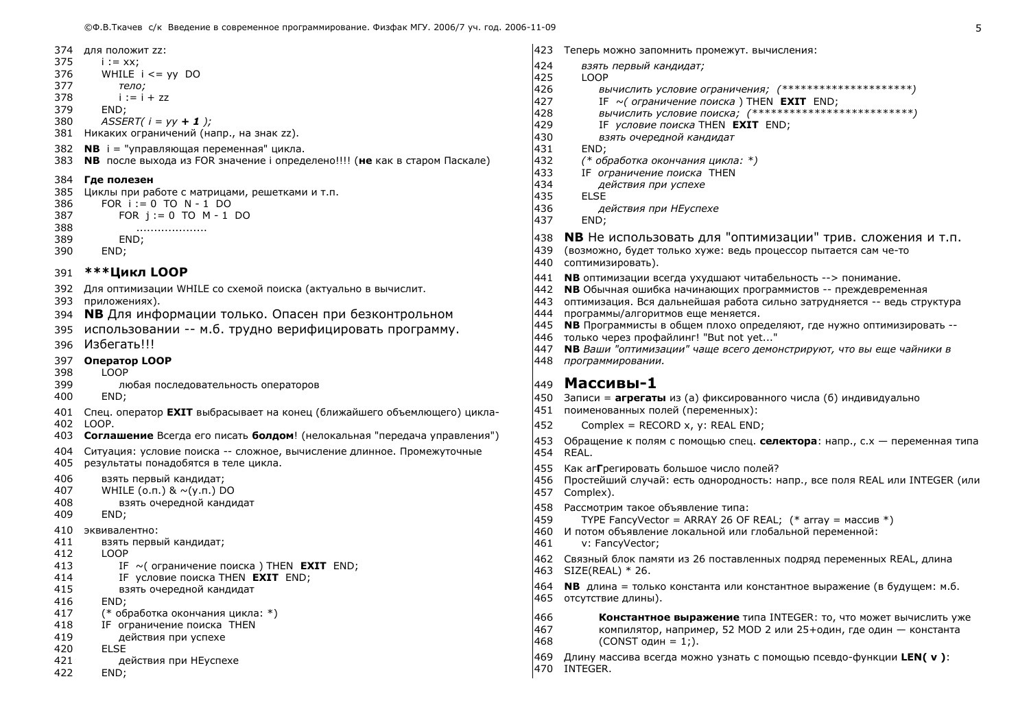- 374 для положит zz:
- 375  $i := xx$ :
- 376 WHILE  $i \leq y$  DO 377 тело:
- 378  $i := i + zz$
- 379 END:
- 380  $ASSERT(i = yy + 1);$
- 381 Никаких ограничений (напр., на знак zz).
- 382 **NB** i = "управляющая переменная" цикла.
- **NB** после выхода из FOR значение і определено!!!! (не как в старом Паскале) 383

### 384 Где полезен

- 385 Циклы при работе с матрицами, решетками и т.п.
- 386 FOR  $i := 0$  TO  $N - 1$  DO 387 FOR  $i := 0$  TO  $M - 1$  DO
- 388 . . . . . . . . . . . . . . . . . . . .
- 389 FND:
- 390 END:

#### \*\*\*Цикл LOOP 391

- 392 Для оптимизации WHILE со схемой поиска (актуально в вычислит.
- 393 приложениях).
- 394 **NB** Для информации только. Опасен при безконтрольном
- использовании -- м.б. трудно верифицировать программу. 395
- 396 Избегать!!!
- 397 Onepatop LOOP
- **LOOP** 398
- 399 любая последовательность операторов
- 400 END:
- 401 Спец. оператор **EXIT** выбрасывает на конец (ближайшего объемлющего) цикла-402 LOOP.
- 403 Соглашение Всегда его писать болдом! (нелокальная "передача управления")
- 404 Ситуация: условие поиска -- сложное, вычисление длинное. Промежуточные 405 результаты понадобятся в теле цикла.
- 406 взять первый кандидат;
- 407 WHILE ( $o.n.$ ) &  $\sim$ ( $v.n.$ ) DO
- 408 взять очередной кандидат
- 409 END;
- 410 эквивалентно:
- 411 взять первый кандидат;
- 412 **LOOP**
- 413 IF  $\sim$  (ограничение поиска) THEN **EXIT** END;
- 414 IF условие поиска THEN **EXIT** END:
- 415 взять очередной кандидат
- 416 END:
- 417 (\* обработка окончания цикла: \*)
- 418 IF ограничение поиска THEN
- 419 действия при успехе
- 420 **FLSE**
- 421 действия при НЕуспехе
- 422 END;
- 423 Теперь можно запомнить промежут. вычисления:
- 424 взять первый кандидат;

425 LOOP

- ВЫЧИСЛИТЬ УСЛОВИЕ ОГРАНИЧЕНИЯ; (\*\*\*\*\*\*\*\*\*\*\*\*\*\*\*\*\*\*\*\*\*\*) 426
- 427 IF  $\sim$  ( ограничение поиска ) THEN **EXIT** END:
- 428
- 429 IF условие поиска THEN **EXIT** END:
- 430 взять очередной кандидат
- 431 END:
- 432 (\* обработка окончания цикла: \*)
- 433 IF ограничение поиска THEN
- 434 действия при успехе
- 435 **ELSE** 436
	- действия при НЕуспехе
- 437 END:
- **NB** Не использовать для "оптимизации" трив. сложения и т.п. 438
- 439 (возможно, будет только хуже: ведь процессор пытается сам че-то
- 440 соптимизировать).
- 441 **NB** оптимизации всегда ухудшают читабельность --> понимание.
- 442 NB Обычная ошибка начинающих программистов -- преждевременная
- 443 оптимизация. Вся дальнейшая работа сильно затрудняется -- ведь структура
- 444 программы/алгоритмов еще меняется.
- 445 NB Программисты в общем плохо определяют, где нужно оптимизировать --
- 446 только через профайлинг! "But not yet..."
- **NB** Ваши "оптимизации" чаще всего демонстрируют, что вы еще чайники в 447
- 448 программировании.

## 449 Массивы-1

- 450 Записи = агрегаты из (а) фиксированного числа (б) индивидуально
- 451 поименованных полей (переменных):
- 452 Complex = RECORD x, y: REAL END:
- 453 Обращение к полям с помощью спец. селектора: напр., с.х переменная типа 454 RFAI.
- 455 Как аггрегировать большое число полей?
- 456 Простейший случай: есть однородность: напр., все поля REAL или INTEGER (или
- 457 Complex).
- 458 Рассмотрим такое объявление типа:
- 459 TYPE FancyVector = ARRAY 26 OF REAL;  $(*$  array = массив  $*)$
- 460 И потом объявление локальной или глобальной переменной:
- 461 v: FancyVector;
- 462 Связный блок памяти из 26 поставленных подряд переменных REAL, длина 463 SIZE(REAL) \* 26.
- 464 **NB** длина = только константа или константное выражение (в будущем: м.б. 465 отсутствие длины).
- 466 Константное выражение типа INTEGER: то, что может вычислить уже
- 467 компилятор, например, 52 МОD 2 или 25+один, где один - константа
- 468  $(CONST$  один = 1:).
- 469 Длину массива всегда можно узнать с помощью псевдо-функции LEN( v):
- 470 INTEGER.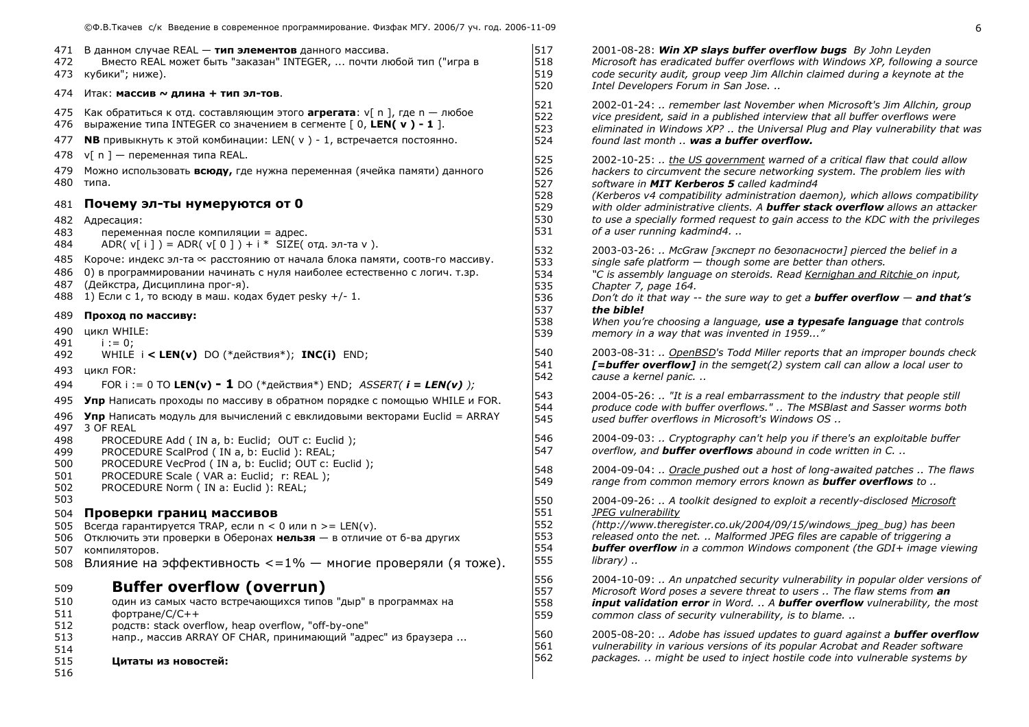| 472                      | 471 В данном случае REAL - тип элементов данного массива.<br>Вместо REAL может быть "заказан" INTEGER,  почти любой тип ("игра в<br>473 кубики"; ниже).                                                                                                                                                                            | 517<br>518<br>519               | 2001-08-28: Win XP slays buffer overflow bugs By John Leyden<br>Microsoft has eradicated buffer overflows with Windows XP, following a source<br>code security audit, group veep Jim Allchin claimed during a keynote at the                                                                                                                                                                                      |
|--------------------------|------------------------------------------------------------------------------------------------------------------------------------------------------------------------------------------------------------------------------------------------------------------------------------------------------------------------------------|---------------------------------|-------------------------------------------------------------------------------------------------------------------------------------------------------------------------------------------------------------------------------------------------------------------------------------------------------------------------------------------------------------------------------------------------------------------|
|                          | 474 Итак: массив ~ длина + тип эл-тов.                                                                                                                                                                                                                                                                                             | 520                             | Intel Developers Forum in San Jose                                                                                                                                                                                                                                                                                                                                                                                |
| 475<br>476               | Как обратиться к отд. составляющим этого <b>arperata</b> : v[ n ], где n — любое<br>выражение типа INTEGER со значением в сегменте $[0,$ LEN( $v$ ) - 1].                                                                                                                                                                          | 521<br>522<br>523               | 2002-01-24:  remember last November when Microsoft's Jim Allchin, group<br>vice president, said in a published interview that all buffer overflows were<br>eliminated in Windows XP?  the Universal Plug and Play vulnerability that was<br>found last month  was a buffer overflow.                                                                                                                              |
| 477                      | <b>NB</b> привыкнуть к этой комбинации: LEN( $v$ ) - 1, встречается постоянно.                                                                                                                                                                                                                                                     | 524                             |                                                                                                                                                                                                                                                                                                                                                                                                                   |
| 478                      | $v[ n ]$ — переменная типа REAL.                                                                                                                                                                                                                                                                                                   | 525                             | 2002-10-25:  the US government warned of a critical flaw that could allow                                                                                                                                                                                                                                                                                                                                         |
|                          | 479 Можно использовать всюду, где нужна переменная (ячейка памяти) данного<br>480 типа.                                                                                                                                                                                                                                            | 526<br>527                      | hackers to circumvent the secure networking system. The problem lies with<br>software in MIT Kerberos 5 called kadmind4<br>(Kerberos v4 compatibility administration daemon), which allows compatibility<br>with older administrative clients. A <b>buffer stack overflow</b> allows an attacker<br>to use a specially formed request to gain access to the KDC with the privileges<br>of a user running kadmind4 |
| 481                      | Почему эл-ты нумеруются от 0                                                                                                                                                                                                                                                                                                       | 528<br>529                      |                                                                                                                                                                                                                                                                                                                                                                                                                   |
| 483<br>484               | 482 Адресация:<br>переменная после компиляции = адрес.                                                                                                                                                                                                                                                                             | 530<br>531                      |                                                                                                                                                                                                                                                                                                                                                                                                                   |
| 485<br>486<br>487<br>488 | ADR( $v[i]$ ) = ADR( $v[0]$ ) + $i$ * SIZE( $\sigma$ тд. эл-та v).<br>Короче: индекс эл-та $\infty$ расстоянию от начала блока памяти, соотв-го массиву.<br>0) в программировании начинать с нуля наиболее естественно с логич. т.зр.<br>(Дейкстра, Дисциплина прог-я).<br>1) Если с 1, то всюду в маш. кодах будет резку $+/-1$ . | 532<br>533<br>534<br>535<br>536 | 2003-03-26:  McGraw [эксперт по безопасности] pierced the belief in a<br>single safe platform - though some are better than others.<br>"C is assembly language on steroids. Read Kernighan and Ritchie on input,<br>Chapter 7, page 164.<br>Don't do it that way -- the sure way to get a <b>buffer overflow <math>-</math> and that's</b>                                                                        |
| 489                      | Проход по массиву:                                                                                                                                                                                                                                                                                                                 | 537                             | the bible!                                                                                                                                                                                                                                                                                                                                                                                                        |
| 490<br>491               | цикл WHILE:<br>$i := 0:$                                                                                                                                                                                                                                                                                                           | 538<br>539                      | When you're choosing a language, use a typesafe language that controls<br>memory in a way that was invented in 1959"                                                                                                                                                                                                                                                                                              |
| 492                      | WHILE $i < LEN(v)$ DO (*действия*); INC(i) END;                                                                                                                                                                                                                                                                                    | 540                             | 2003-08-31:  OpenBSD's Todd Miller reports that an improper bounds check                                                                                                                                                                                                                                                                                                                                          |
|                          | 493 цикл FOR:                                                                                                                                                                                                                                                                                                                      | 541<br>542                      | [=buffer overflow] in the semget(2) system call can allow a local user to<br>cause a kernel panic                                                                                                                                                                                                                                                                                                                 |
| 494                      | FOR i := 0 TO LEN(v) - 1 DO (*действия*) END; ASSERT( $i = LEN(v)$ );                                                                                                                                                                                                                                                              |                                 |                                                                                                                                                                                                                                                                                                                                                                                                                   |
|                          | 495 Упр Написать проходы по массиву в обратном порядке с помощью WHILE и FOR.<br>496 Упр Написать модуль для вычислений с евклидовыми векторами Euclid = ARRAY                                                                                                                                                                     | 543<br>544<br>545               | 2004-05-26:  "It is a real embarrassment to the industry that people still<br>produce code with buffer overflows."  The MSBlast and Sasser worms both<br>used buffer overflows in Microsoft's Windows OS                                                                                                                                                                                                          |
| 498<br>499               | 497 3 OF REAL<br>PROCEDURE Add (IN a, b: Euclid; OUT c: Euclid);<br>PROCEDURE ScalProd (IN a, b: Euclid): REAL;                                                                                                                                                                                                                    | 546<br>547                      | 2004-09-03:  Cryptography can't help you if there's an exploitable buffer<br>overflow, and <b>buffer overflows</b> abound in code written in C.                                                                                                                                                                                                                                                                   |
| 500<br>501<br>502        | PROCEDURE VecProd ( IN a, b: Euclid; OUT c: Euclid );<br>PROCEDURE Scale (VAR a: Euclid; r: REAL);<br>PROCEDURE Norm ( IN a: Euclid ): REAL;                                                                                                                                                                                       | 548<br>549                      | 2004-09-04:  Oracle pushed out a host of long-awaited patches  The flaws<br>range from common memory errors known as <b>buffer overflows</b> to                                                                                                                                                                                                                                                                   |
| 503                      |                                                                                                                                                                                                                                                                                                                                    | 550                             | 2004-09-26:  A toolkit designed to exploit a recently-disclosed Microsoft                                                                                                                                                                                                                                                                                                                                         |
| 504                      | Проверки границ массивов                                                                                                                                                                                                                                                                                                           | 551<br>552                      | JPEG vulnerability<br>(http://www.theregister.co.uk/2004/09/15/windows_jpeg_bug) has been                                                                                                                                                                                                                                                                                                                         |
| 505<br>506               | Всегда гарантируется TRAP, если $n < 0$ или $n > =$ LEN(v).<br>Отключить эти проверки в Оберонах нельзя - в отличие от 6-ва других                                                                                                                                                                                                 | 553                             | released onto the net.  Malformed JPEG files are capable of triggering a                                                                                                                                                                                                                                                                                                                                          |
| 507                      | компиляторов.                                                                                                                                                                                                                                                                                                                      | 554                             | <b>buffer overflow</b> in a common Windows component (the GDI+ image viewing                                                                                                                                                                                                                                                                                                                                      |
| 508                      | Влияние на эффективность <=1% - многие проверяли (я тоже).                                                                                                                                                                                                                                                                         | 555                             | library)                                                                                                                                                                                                                                                                                                                                                                                                          |
| 509                      | <b>Buffer overflow (overrun)</b>                                                                                                                                                                                                                                                                                                   | 556<br>557                      | 2004-10-09:  An unpatched security vulnerability in popular older versions of<br>Microsoft Word poses a severe threat to users  The flaw stems from an                                                                                                                                                                                                                                                            |
| 510<br>511               | один из самых часто встречающихся типов "дыр" в программах на<br>фортране/С/С++                                                                                                                                                                                                                                                    | 558<br>559                      | <b>input validation error</b> in Word.  A <b>buffer overflow</b> vulnerability, the most<br>common class of security vulnerability, is to blame.                                                                                                                                                                                                                                                                  |
| 512<br>513<br>514        | родств: stack overflow, heap overflow, "off-by-one"<br>напр., массив ARRAY OF CHAR, принимающий "адрес" из браузера                                                                                                                                                                                                                | 560<br>561                      | 2005-08-20:  Adobe has issued updates to guard against a <b>buffer overflow</b><br>vulnerability in various versions of its popular Acrobat and Reader software                                                                                                                                                                                                                                                   |
| 515                      | Цитаты из новостей:                                                                                                                                                                                                                                                                                                                | 562                             | packages.  might be used to inject hostile code into vulnerable systems by                                                                                                                                                                                                                                                                                                                                        |
|                          |                                                                                                                                                                                                                                                                                                                                    |                                 |                                                                                                                                                                                                                                                                                                                                                                                                                   |

516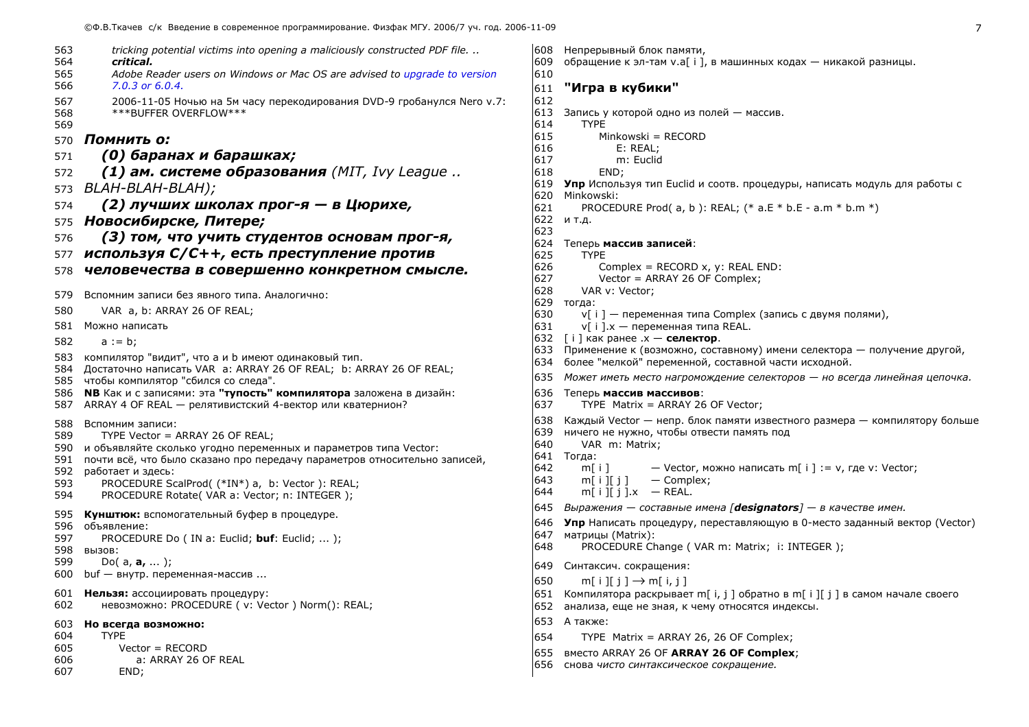| 563<br>564        | tricking potential victims into opening a maliciously constructed PDF file.<br>critical.                                                                        |
|-------------------|-----------------------------------------------------------------------------------------------------------------------------------------------------------------|
| 565<br>566        | Adobe Reader users on Windows or Mac OS are advised to upgrade to version<br>7.0.3 or 6.0.4.                                                                    |
| 567<br>568<br>569 | 2006-11-05 Ночью на 5м часу перекодирования DVD-9 гробанулся Nero v.7:<br>***BUFFER OVERFLOW***                                                                 |
| 570               | Помнить о:                                                                                                                                                      |
| 571               | (0) баранах и барашках;                                                                                                                                         |
| 572               | (1) ам. системе образования (MIT, Ivy League                                                                                                                    |
| 573               | BLAH-BLAH-BLAH);                                                                                                                                                |
| 574               | (2) лучших школах прог-я — в Цюрихе,                                                                                                                            |
| 575               | Новосибирске, Питере;                                                                                                                                           |
| 576               | (3) том, что учить студентов основам прог-я,                                                                                                                    |
| 577               | используя C/C++, есть преступление против                                                                                                                       |
| 578               | человечества в совершенно конкретном смысле.                                                                                                                    |
| 579               | Вспомним записи без явного типа. Аналогично:                                                                                                                    |
| 580               | VAR a, b: ARRAY 26 OF REAL;                                                                                                                                     |
| 581               | Можно написать                                                                                                                                                  |
| 582               | $a := b;$                                                                                                                                                       |
| 583<br>584<br>585 | компилятор "видит", что а и b имеют одинаковый тип.<br>Достаточно написать VAR a: ARRAY 26 OF REAL; b: ARRAY 26 OF REAL;<br>чтобы компилятор "сбился со следа". |
| 586<br>587        | <b>NB</b> Как и с записями: эта "тупость" компилятора заложена в дизайн:<br>ARRAY 4 OF REAL - релятивистский 4-вектор или кватернион?                           |
| 588<br>589        | Вспомним записи:                                                                                                                                                |
| 590               | TYPE Vector = ARRAY 26 OF REAL;<br>и объявляйте сколько угодно переменных и параметров типа Vector:                                                             |
| 591               | почти всё, что было сказано про передачу параметров относительно записей,                                                                                       |
| 592<br>593        | работает и здесь:<br>PROCEDURE ScalProd( (*IN*) a, b: Vector ): REAL;                                                                                           |
| 594               | PROCEDURE Rotate( VAR a: Vector; n: INTEGER );                                                                                                                  |
| 595               | Кунштюк: вспомогательный буфер в процедуре.                                                                                                                     |
| 596               | объявление:                                                                                                                                                     |
| 597<br>598        | PROCEDURE Do (IN a: Euclid; buf: Euclid; );<br><b>BbI30B:</b>                                                                                                   |
| 599               | Do( $a, a, $ );                                                                                                                                                 |
| 600               | buf — внутр. переменная-массив                                                                                                                                  |
| 601<br>602        | Нельзя: ассоциировать процедуру:<br>невозможно: PROCEDURE (v: Vector) Norm(): REAL;                                                                             |
| 603               | Но всегда возможно:                                                                                                                                             |
| 604<br>605        | <b>TYPE</b><br>$Vector = RECORD$                                                                                                                                |
| 606               | a: ARRAY 26 OF REAL                                                                                                                                             |
| 607               | END;                                                                                                                                                            |

```
608 Непрерывный блок памяти,
|609   обращение к эл-там v.a[ i ], в машинных кодах — никакой разницы.
610
|611 "Игра в кvбики"
612
613 Запись у которой одно из полей - массив.
614
       TYPF
615
           Minkowski = RECORD
616
              E: REAL:
617
              m: Euclid
618
           END:
619 Упр Используя тип Euclid и соотв. процедуры, написать модуль для работы с
620 Minkowski:
621
        PROCEDURE Prod( a, b): REAL; (* a.E * b.E - a.m * b.m *)622 и т.д.
623
624 Теперь массив записей:
625
        TYPE
           Complex = RECORD x, y: REAL END:
626
627
           Vector = ARRAY 26 OF Complex;
628
        VAR v: Vector:
629 тогда:
630
        v[i] — переменная типа Complex (запись с двумя полями).
631
        V[i]. X — переменная типа REAL.
632 [i] как ранее x - селектор.
633 Применение к (возможно, составному) имени селектора — получение другой,
634 более "мелкой" переменной, составной части исходной.
635 Может иметь место нагромождение селекторов - но всегда линейная цепочка.
636 Теперь массив массивов:
637
        TYPE Matrix = ARRAY 26 OF Vector;
638 Каждый Vector — непр. блок памяти известного размера — компилятору больше
639 ничего не нужно, чтобы отвести память под
640
        VAR m: Matrix;
641 Тогда:
642
        m[i]— Vector, можно написать m[ i ] : = v, где v: Vector;
643
        m[i][j] - Complex;
644
        m[i][i].x - REAL.
645 Выражения — составные имена [designators] — в качестве имен.
646 Упр Написать процедуру, переставляющую в 0-место заданный вектор (Vector)
647 матрицы (Matrix):
        PROCEDURE Change (VAR m: Matrix; i: INTEGER);
648
```

```
649 Синтаксич. сокращения:
```

```
650
          m[i][j] \rightarrow m[i,j]
```
- 651 Компилятора раскрывает m[ i, j ] обратно в m[ i ][ j ] в самом начале своего
- 652 анализа, еще не зная, к чему относятся индексы.

```
653 А также:
```
- 654 TYPE Matrix = ARRAY 26, 26 OF Complex;
- 655 BMeCTO ARRAY 26 OF ARRAY 26 OF Complex;
- 656 снова чисто синтаксическое сокращение.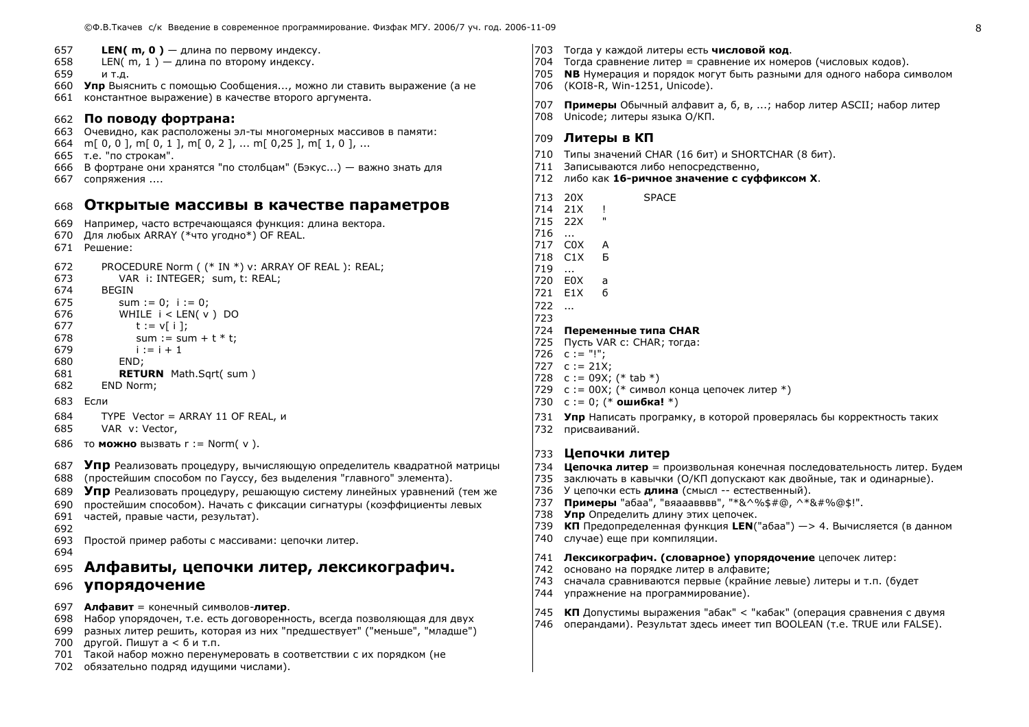- 657 **LEN( m, 0)** — длина по первому индексу.
- 658 LEN( $m, 1$ ) — длина по второму индексу.
- 659 И Т.Д.
- 660 Упр Выяснить с помощью Сообщения..., можно ли ставить выражение (а не
- константное выражение) в качестве второго аргумента. 661

## 662 По поводу фортрана:

- 663 Очевидно, как расположены эл-ты многомерных массивов в памяти:
- 664 m[0, 0], m[0, 1], m[0, 2], ... m[0,25], m[1, 0], ...
- 665 т.е. "по строкам".
- 666 В фортране они хранятся "по столбцам" (Бэкус...) важно знать для 667 сопряжения ....

#### Открытые массивы в качестве параметров 668

- Например, часто встречающаяся функция: длина вектора. 669
- 670 Для любых ARRAY (\*что угодно\*) OF REAL.
- 671 Решение:
- 672 PROCEDURE Norm ( (\* IN \*) v: ARRAY OF REAL ): REAL;
- 673 VAR i: INTEGER: sum. t: REAL:
- 674 **BEGIN**
- 675 sum :=  $0$ : i := 0:
- 676 WHILE  $i <$  LEN( $v$ ) DO
- 677  $t := v[i]$ sum :=  $sum + t * t$ :
- 678 679  $i := i + 1$
- 680 END:
- 681 **RETURN** Math.Sqrt(sum)
- 682 END Norm;
- 683 Если
- 684 TYPE Vector = ARRAY 11 OF REAL, и
- 685 VAR v: Vector,
- 686 то **можно** вызвать  $r := \text{Norm}(v)$ .
- 687 Упр Реализовать процедуру, вычисляющую определитель квадратной матрицы
- (простейшим способом по Гауссу, без выделения "главного" элемента). 688
- 689 **Упр** Реализовать процедуру, решающую систему линейных уравнений (тем же
- простейшим способом). Начать с фиксации сигнатуры (коэффициенты левых 690
- 691 частей, правые части, результат).
- 692
- 693 Простой пример работы с массивами: цепочки литер.
- 694
- Алфавиты, цепочки литер, лексикографич. 695
- **упорядочение** 696
- 697 Алфавит = конечный символов-литер.
- 698 Набор упорядочен, т.е. есть договоренность, всегда позволяющая для двух
- 699 разных литер решить, которая из них "предшествует" ("меньше", "младше")
- другой. Пишута < 6 и т.п. 700
- 701 Такой набор можно перенумеровать в соответствии с их порядком (не
- 702 обязательно подряд идущими числами).
- 703 Тогда у каждой литеры есть **числовой код**.
- 704 Тогда сравнение литер = сравнение их номеров (числовых кодов).
- 705 NB Нумерация и порядок могут быть разными для одного набора символом
- 706 (KOI8-R, Win-1251, Unicode).
- 707 Примеры Обычный алфавит а, б, в, ...; набор литер ASCII; набор литер
- 708 Unicode: литеры языка О/КП.

## 709 Литеры в КП

- 710 Типы значений CHAR (16 бит) и SHORTCHAR (8 бит).
- 711 Записываются либо непосредственно.
- 712 либо как 16-ричное значение с суффиксом Х.
- 713 20X **SPACE**
- 714 21X  $\blacksquare$  $\mathbf{u}$
- 715 22X
- $716...$ 717 COX A
- 718 C1X **Б**
- 719  $\sim$
- 720 FOX  $\overline{a}$
- 721 E1X - 6
- $722...$
- 723

### 724 Переменные типа CHAR

- 725 Пусть VAR с: CHAR; тогда:
- 726  $C := "!"$
- 727  $c := 21X;$
- 728  $c := 09X$ ; (\* tab \*)
- 729 с: = 00Х; (\* символ конца цепочек литер \*)
- 730  $c := 0$ : (\* **ошибка!** \*)
- 731 Упр Написать програмку, в которой проверялась бы корректность таких
- 732 присваиваний.

## 733 Цепочки литер

- 734 Цепочка литер = произвольная конечная последовательность литер. Будем
- 735 заключать в кавычки (О/КП допускают как двойные, так и одинарные).
- 736 У цепочки есть длина (смысл -- естественный).
- 737 Примеры "абаа", "вяааавввв", "\*&^%\$#@, ^\*&#%@\$!".
- 738 Упр Определить длину этих цепочек.
- 739 КП Предопределенная функция LEN("абаа") -> 4. Вычисляется (в данном
- 740 случае) еще при компиляции.

### 741 Лексикографич. (словарное) упорядочение цепочек литер:

- 742 основано на порядке литер в алфавите;
- 743 сначала сравниваются первые (крайние левые) литеры и т.п. (будет
- 744 упражнение на программирование).
- 745 КП Допустимы выражения "абак" < "кабак" (операция сравнения с двумя
- 746 операндами). Результат здесь имеет тип BOOLEAN (т.е. TRUE или FALSE).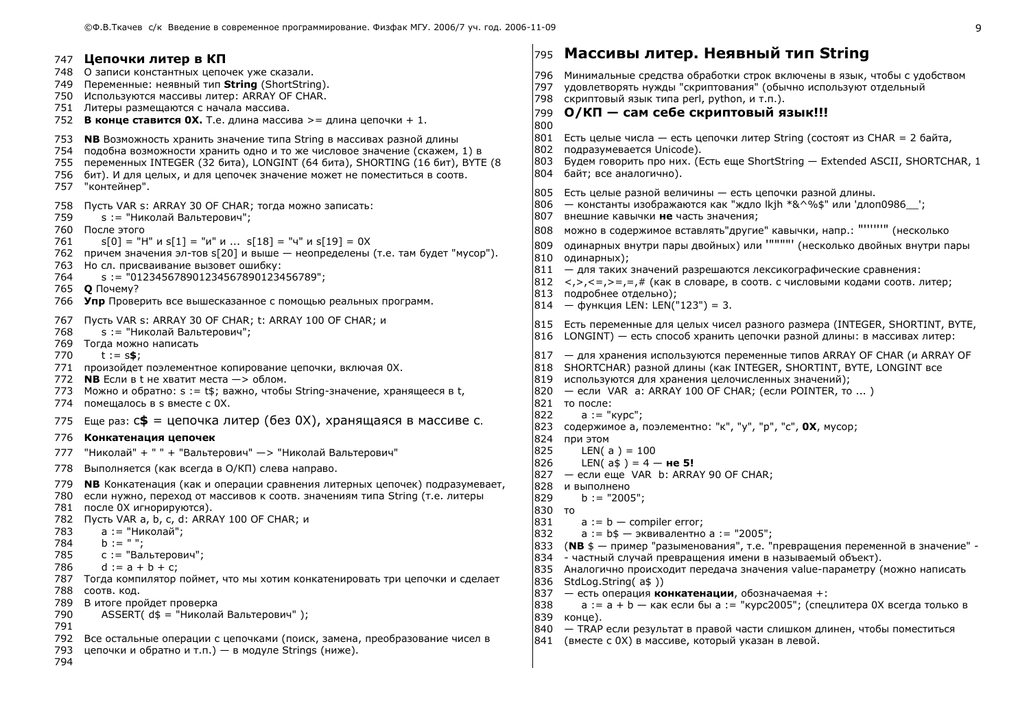|                                                             | 747 Цепочки литер в КП                                                                                                                                                                                                                                                                                                                                                                                                                                                                                                                                                                                                                            |                                                  | 795 Macсивы литер. Неявный тип String                                                                                                                                                                                                                                                                                                                                                                                                                                                                                                                                                                                                                                                                                                           |
|-------------------------------------------------------------|---------------------------------------------------------------------------------------------------------------------------------------------------------------------------------------------------------------------------------------------------------------------------------------------------------------------------------------------------------------------------------------------------------------------------------------------------------------------------------------------------------------------------------------------------------------------------------------------------------------------------------------------------|--------------------------------------------------|-------------------------------------------------------------------------------------------------------------------------------------------------------------------------------------------------------------------------------------------------------------------------------------------------------------------------------------------------------------------------------------------------------------------------------------------------------------------------------------------------------------------------------------------------------------------------------------------------------------------------------------------------------------------------------------------------------------------------------------------------|
|                                                             | 748 О записи константных цепочек уже сказали.<br>749 Переменные: неявный тип String (ShortString).<br>750 Используются массивы литер: ARRAY OF CHAR.<br>751 Литеры размещаются с начала массива.<br>752 В конце ставится ОХ. Т.е. длина массива > = длина цепочки + 1.                                                                                                                                                                                                                                                                                                                                                                            | 797<br>800                                       | 796 Минимальные средства обработки строк включены в язык, чтобы с удобством<br>удовлетворять нужды "скриптования" (обычно используют отдельный<br>798 скриптовый язык типа perl, python, и т.п.).<br>799 0/КП - сам себе скриптовый язык!!!                                                                                                                                                                                                                                                                                                                                                                                                                                                                                                     |
| 754<br>755                                                  | 753 <b>NB</b> Возможность хранить значение типа String в массивах разной длины<br>подобна возможности хранить одно и то же числовое значение (скажем, 1) в<br>переменных INTEGER (32 бита), LONGINT (64 бита), SHORTING (16 бит), BYTE (8<br>756 бит). И для целых, и для цепочек значение может не поместиться в соотв.<br>757 "контейнер".                                                                                                                                                                                                                                                                                                      |                                                  | 801 Есть целые числа - есть цепочки литер String (состоят из CHAR = 2 байта,<br>802 подразумевается Unicode).<br>803 Будем говорить про них. (Есть еще ShortString - Extended ASCII, SHORTCHAR, 1<br>804 байт; все аналогично).                                                                                                                                                                                                                                                                                                                                                                                                                                                                                                                 |
| 758<br>759<br>761<br>763<br>764                             | Пусть VAR s: ARRAY 30 OF CHAR; тогда можно записать:<br>s := "Николай Вальтерович";<br>760 После этого<br>$s[0] = "H"$ $u s[1] = "u"$ $u $ $s[18] = "u"$ $u s[19] = 0X$<br>762 причем значения эл-тов s[20] и выше — неопределены (т.е. там будет "мусор").<br>Но сл. присваивание вызовет ошибку:<br>$s := "012345678901234567890123456789";$<br>765 <b>Q</b> Почему?<br>766 Упр Проверить все вышесказанное с помощью реальных программ.                                                                                                                                                                                                        | 809                                              | 805 Есть целые разной величины - есть цепочки разной длины.<br> 806  — константы изображаются как "ждло lkjh *&^%\$" или 'длоп0986   ';<br>807 внешние кавычки не часть значения;<br>808 можно в содержимое вставлять"другие" кавычки, напр.: """""" (несколько<br>одинарных внутри пары двойных) или """""" (несколько двойных внутри пары<br>810 одинарных);<br>$ 811 - \mu$ ля таких значений разрешаются лексикографические сравнения:<br>$ 812 \lt, >, < =, > =, =, #$ (как в словаре, в соотв. с числовыми кодами соотв. литер;<br>813 подробнее отдельно);<br>$ 814 - \phi$ ункция LEN: LEN("123") = 3.                                                                                                                                  |
| 767<br>768<br>770<br>774                                    | Пусть VAR s: ARRAY 30 OF CHAR; t: ARRAY 100 OF CHAR; и<br>s := "Николай Вальтерович";<br>769 Тогда можно написать<br>$t := s$ \$;<br>771 произойдет поэлементное копирование цепочки, включая ОХ.<br>772 <b>NB</b> Если в t не хватит места $\rightarrow$ облом.<br>773 Можно и обратно: s := t\$; важно, чтобы String-значение, хранящееся в t,<br>помещалось в s вместе с 0Х.                                                                                                                                                                                                                                                                   |                                                  | 815 Есть переменные для целых чисел разного размера (INTEGER, SHORTINT, BYTE,<br>816 LONGINT) — есть способ хранить цепочки разной длины: в массивах литер:<br>817 — для хранения используются переменные типов ARRAY OF CHAR (и ARRAY OF<br>[818 SHORTCHAR) разной длины (как INTEGER, SHORTINT, BYTE, LONGINT все<br> 819 используются для хранения целочисленных значений);<br>820 — если VAR a: ARRAY 100 OF CHAR; (если POINTER, то )<br>821 то после:                                                                                                                                                                                                                                                                                     |
| 775<br>776<br>777                                           | Еще раз: $c$ \$ = цепочка литер (без 0Х), хранящаяся в массиве с.<br>Конкатенация цепочек<br>"Николай" + " " + "Вальтерович" -> "Николай Вальтерович"                                                                                                                                                                                                                                                                                                                                                                                                                                                                                             | 822<br>823<br>825                                | $a := "kypc";$<br>содержимое а, поэлементно: "к", "у", "р", "с", ОХ, мусор;<br>824 при этом<br>LEN( $a$ ) = 100                                                                                                                                                                                                                                                                                                                                                                                                                                                                                                                                                                                                                                 |
| 780<br>783<br>784<br>785<br>786<br>789<br>790<br>791<br>792 | 778 Выполняется (как всегда в О/КП) слева направо.<br>779 <b>NB</b> Конкатенация (как и операции сравнения литерных цепочек) подразумевает,<br>если нужно, переход от массивов к соотв. значениям типа String (т.е. литеры<br>781 после 0Х игнорируются).<br>782 Пусть VAR a, b, c, d: ARRAY 100 OF CHAR; и<br>а := "Николай";<br>$b := "$ ;<br>с := "Вальтерович";<br>$d := a + b + c;$<br>787 Тогда компилятор поймет, что мы хотим конкатенировать три цепочки и сделает<br>788 соотв. код.<br>В итоге пройдет проверка<br>ASSERT( d\$ = "Николай Вальтерович" );<br>Все остальные операции с цепочками (поиск, замена, преобразование чисел в | 826<br>829<br>830 то<br>831<br>832<br>838<br>840 | LEN( $a\$ ) = 4 – <b>He 5!</b><br>827 - если еще VAR b: ARRAY 90 OF CHAR;<br>828 и выполнено<br>$b := "2005";$<br>$a := b$ - compiler error;<br>а : = b\$ — эквивалентно а : = "2005";<br>833 (NB $$$ - пример "разыменования", т.е. "превращения переменной в значение"<br>834 - частный случай превращения имени в называемый объект).<br>835 Аналогично происходит передача значения value-параметру (можно написать<br>836 StdLog.String(a\$))<br>$ 837 -$ есть операция конкатенации, обозначаемая +:<br>$a := a + b - \kappa$ ак если бы а := "курс2005"; (спецлитера 0Х всегда только в<br>839 конце).<br>— TRAP если результат в правой части слишком длинен, чтобы поместиться<br>841 (вместе с 0X) в массиве, который указан в левой. |
| 793<br>794                                                  | цепочки и обратно и т.п.) — в модуле Strings (ниже).                                                                                                                                                                                                                                                                                                                                                                                                                                                                                                                                                                                              |                                                  |                                                                                                                                                                                                                                                                                                                                                                                                                                                                                                                                                                                                                                                                                                                                                 |